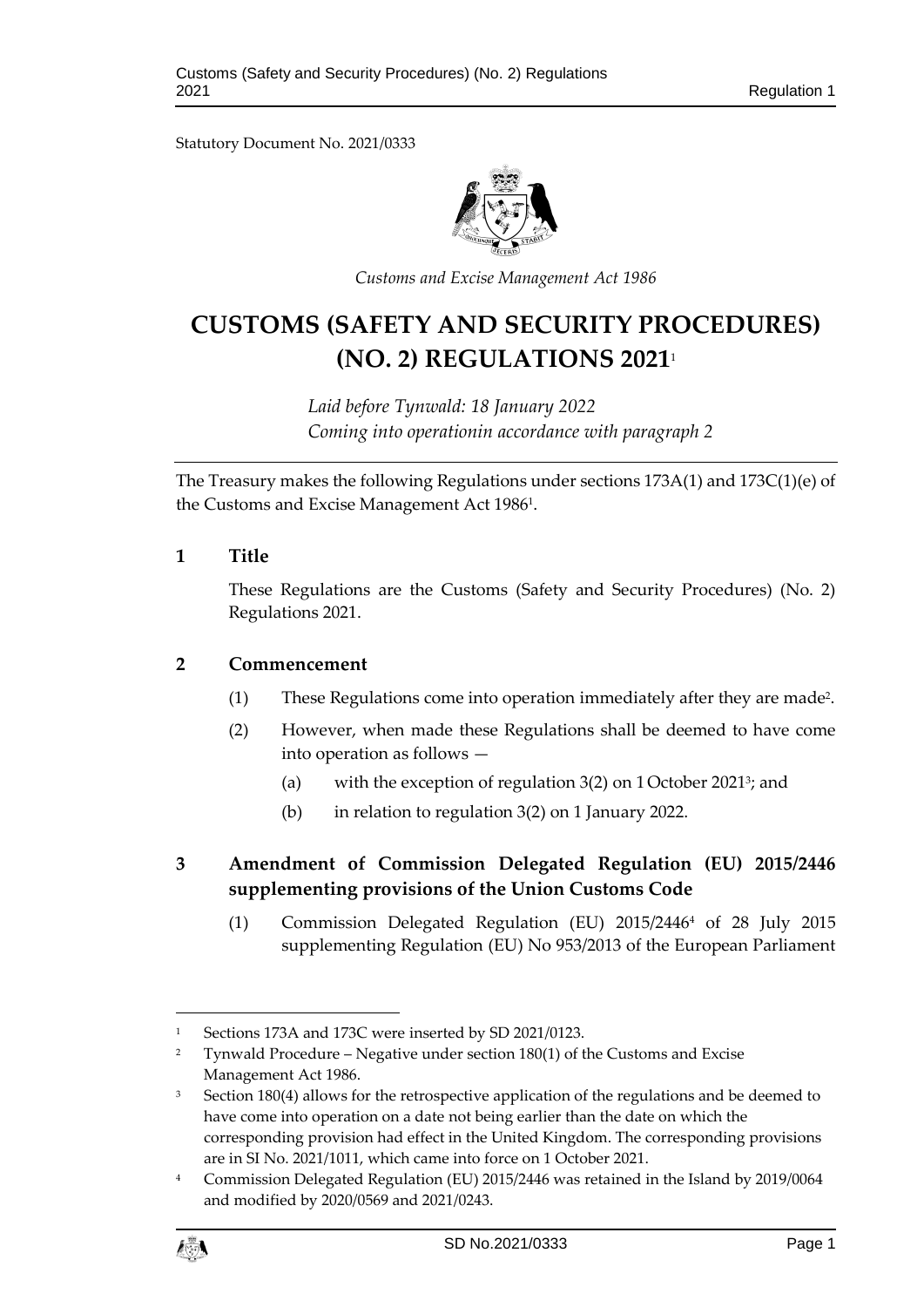Statutory Document No. 2021/0333



*Customs and Excise Management Act 1986*

# **CUSTOMS (SAFETY AND SECURITY PROCEDURES) (NO. 2) REGULATIONS 2021**<sup>1</sup>

*Laid before Tynwald: 18 January 2022 Coming into operationin accordance with paragraph 2*

The Treasury makes the following Regulations under sections 173A(1) and 173C(1)(e) of the Customs and Excise Management Act 1986<sup>1</sup>.

#### **1 Title**

These Regulations are the Customs (Safety and Security Procedures) (No. 2) Regulations 2021.

#### **2 Commencement**

- (1) These Regulations come into operation immediately after they are made<sup>2</sup> .
- (2) However, when made these Regulations shall be deemed to have come into operation as follows —
	- (a) with the exception of regulation 3(2) on 1 October 2021<sup>3</sup>; and
	- (b) in relation to regulation 3(2) on 1 January 2022.

# **3 Amendment of Commission Delegated Regulation (EU) 2015/2446 supplementing provisions of the Union Customs Code**

(1) Commission Delegated Regulation (EU) 2015/2446<sup>4</sup> of 28 July 2015 supplementing Regulation (EU) No 953/2013 of the European Parliament

<sup>&</sup>lt;sup>4</sup> Commission Delegated Regulation (EU) 2015/2446 was retained in the Island by 2019/0064 and modified by 2020/0569 and 2021/0243.



1

<sup>&</sup>lt;sup>1</sup> Sections 173A and 173C were inserted by SD 2021/0123.

<sup>&</sup>lt;sup>2</sup> Tynwald Procedure – Negative under section  $180(1)$  of the Customs and Excise Management Act 1986.

 $3$  Section 180(4) allows for the retrospective application of the regulations and be deemed to have come into operation on a date not being earlier than the date on which the corresponding provision had effect in the United Kingdom. The corresponding provisions are in SI No. 2021/1011, which came into force on 1 October 2021.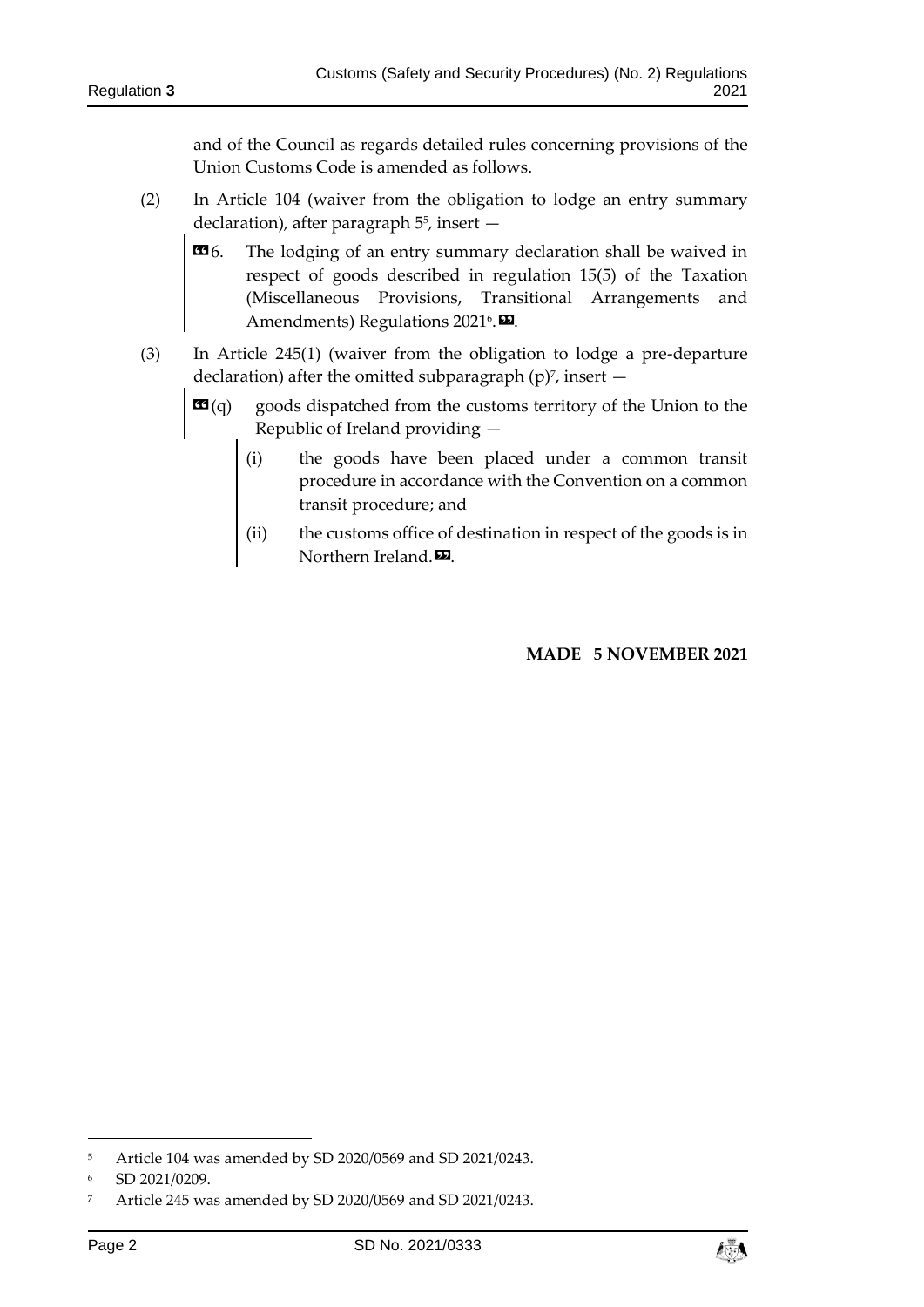and of the Council as regards detailed rules concerning provisions of the Union Customs Code is amended as follows.

- (2) In Article 104 (waiver from the obligation to lodge an entry summary declaration), after paragraph 5 5 , insert —
	- $\mathbf{G}$ 6. The lodging of an entry summary declaration shall be waived in respect of goods described in regulation 15(5) of the Taxation (Miscellaneous Provisions, Transitional Arrangements and Amendments) Regulations 2021<sup>6</sup>.
- (3) In Article 245(1) (waiver from the obligation to lodge a pre-departure declaration) after the omitted subparagraph  $(p)^7$ , insert  $$ 
	- **goods dispatched from the customs territory of the Union to the** Republic of Ireland providing —
		- (i) the goods have been placed under a common transit procedure in accordance with the Convention on a common transit procedure; and
		- (ii) the customs office of destination in respect of the goods is in Northern Ireland.<sup>D</sup>.

### **MADE 5 NOVEMBER 2021**

-

<sup>5</sup> Article 104 was amended by SD 2020/0569 and SD 2021/0243.

<sup>6</sup> SD 2021/0209.

<sup>7</sup> Article 245 was amended by SD 2020/0569 and SD 2021/0243.